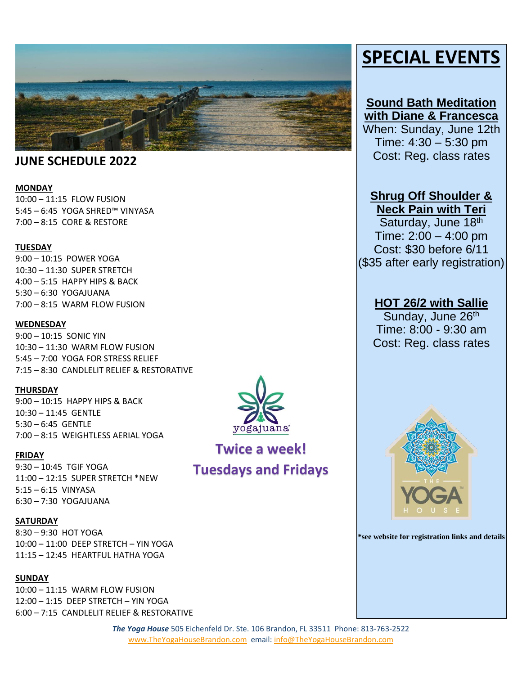

## **JUNE SCHEDULE 2022**

#### **MONDAY**

10:00 – 11:15 FLOW FUSION 5:45 – 6:45 YOGA SHRED™ VINYASA 7:00 – 8:15 CORE & RESTORE

#### **TUESDAY**

9:00 – 10:15 POWER YOGA 10:30 – 11:30 SUPER STRETCH 4:00 – 5:15 HAPPY HIPS & BACK 5:30 – 6:30 YOGAJUANA 7:00 – 8:15 WARM FLOW FUSION

#### **WEDNESDAY**

9:00 – 10:15 SONIC YIN 10:30 – 11:30 WARM FLOW FUSION 5:45 – 7:00 YOGA FOR STRESS RELIEF 7:15 – 8:30 CANDLELIT RELIEF & RESTORATIVE

#### **THURSDAY**

9:00 – 10:15 HAPPY HIPS & BACK 10:30 – 11:45 GENTLE 5:30 – 6:45 GENTLE 7:00 – 8:15 WEIGHTLESS AERIAL YOGA

#### **FRIDAY**

9:30 – 10:45 TGIF YOGA 11:00 – 12:15 SUPER STRETCH \*NEW 5:15 – 6:15 VINYASA 6:30 – 7:30 YOGAJUANA

#### **SATURDAY**

8:30 – 9:30 HOT YOGA 10:00 – 11:00 DEEP STRETCH – YIN YOGA 11:15 – 12:45 HEARTFUL HATHA YOGA

#### **SUNDAY**

10:00 – 11:15 WARM FLOW FUSION 12:00 – 1:15 DEEP STRETCH – YIN YOGA 6:00 – 7:15 CANDLELIT RELIEF & RESTORATIVE



# **Twice a week! Tuesdays and Fridays**

# **SPECIAL EVENTS**

## **Sound Bath Meditation with Diane & Francesca**

When: Sunday, June 12th Time: 4:30 – 5:30 pm Cost: Reg. class rates

# **Shrug Off Shoulder &**

**Neck Pain with Teri** Saturday, June 18th Time: 2:00 – 4:00 pm Cost: \$30 before 6/11 (\$35 after early registration)

### **HOT 26/2 with Sallie**

Sunday, June 26<sup>th</sup> Time: 8:00 - 9:30 am Cost: Reg. class rates



**\*see website for registration links and details**

*The Yoga House* 505 Eichenfeld Dr. Ste. 106 Brandon, FL 33511 Phone: 813-763-2522 [www.TheYogaHouseBrandon.com](http://www.theyogahousebrandon.com/) email[: info@TheYogaHouseBrandon.com](mailto:info@TheYogaHouseBrandon.com)